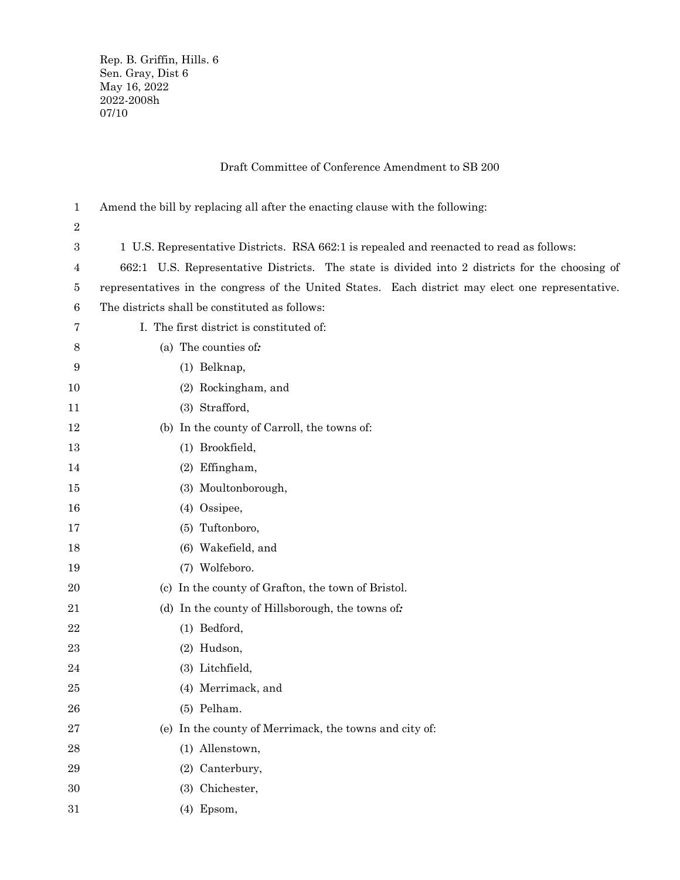Rep. B. Griffin, Hills. 6 Sen. Gray, Dist 6 May 16, 2022 2022-2008h 07/10

# Draft Committee of Conference Amendment to SB 200

| 1           | Amend the bill by replacing all after the enacting clause with the following:                     |  |  |
|-------------|---------------------------------------------------------------------------------------------------|--|--|
| 2           |                                                                                                   |  |  |
| 3           | 1 U.S. Representative Districts. RSA 662:1 is repealed and reenacted to read as follows:          |  |  |
| 4           | 662:1 U.S. Representative Districts. The state is divided into 2 districts for the choosing of    |  |  |
| 5           | representatives in the congress of the United States. Each district may elect one representative. |  |  |
| 6           | The districts shall be constituted as follows:                                                    |  |  |
| 7           | I. The first district is constituted of:                                                          |  |  |
| 8           | (a) The counties of:                                                                              |  |  |
| 9           | (1) Belknap,                                                                                      |  |  |
| 10          | (2) Rockingham, and                                                                               |  |  |
| 11          | (3) Strafford,                                                                                    |  |  |
| 12          | (b) In the county of Carroll, the towns of:                                                       |  |  |
| 13          | (1) Brookfield,                                                                                   |  |  |
| 14          | (2) Effingham,                                                                                    |  |  |
| 15          | (3) Moultonborough,                                                                               |  |  |
| 16          | (4) Ossipee,                                                                                      |  |  |
| 17          | (5) Tuftonboro,                                                                                   |  |  |
| 18          | (6) Wakefield, and                                                                                |  |  |
| 19          | (7) Wolfeboro.                                                                                    |  |  |
| 20          | (c) In the county of Grafton, the town of Bristol.                                                |  |  |
| 21          | (d) In the county of Hillsborough, the towns of:                                                  |  |  |
| 22          | (1) Bedford,                                                                                      |  |  |
| 23          | (2) Hudson,                                                                                       |  |  |
| 24          | (3) Litchfield,                                                                                   |  |  |
| 25          | (4) Merrimack, and                                                                                |  |  |
| 26          | (5) Pelham.                                                                                       |  |  |
| $\sqrt{27}$ | (e) In the county of Merrimack, the towns and city of:                                            |  |  |
| 28          | (1) Allenstown,                                                                                   |  |  |
| 29          | (2) Canterbury,                                                                                   |  |  |
| 30          | (3) Chichester,                                                                                   |  |  |
| 31          | (4) Epsom,                                                                                        |  |  |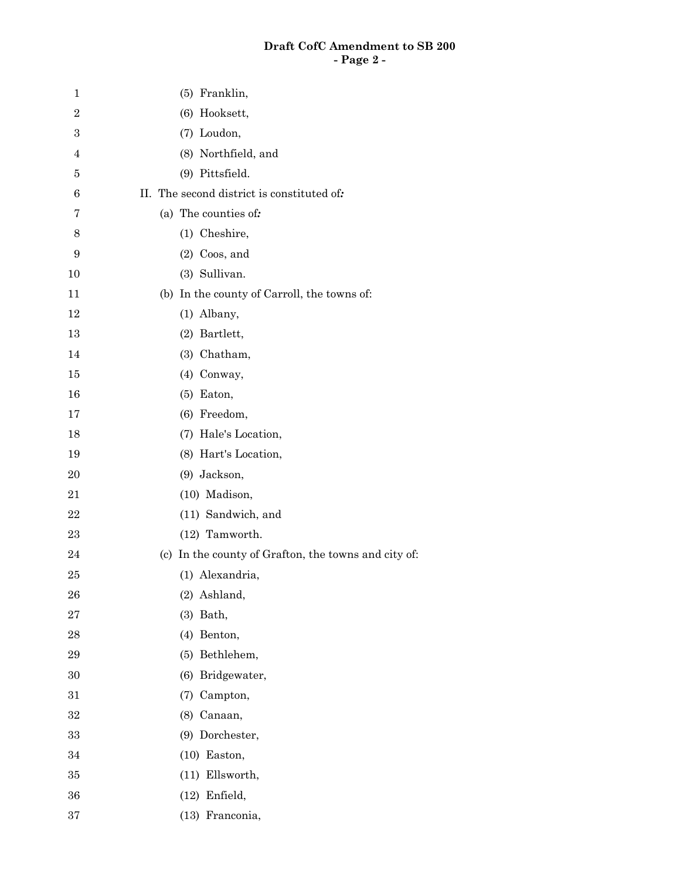## **Draft CofC Amendment to SB 200 - Page 2 -**

| 1              | (5) Franklin,                                        |
|----------------|------------------------------------------------------|
| $\overline{2}$ | (6) Hooksett,                                        |
| 3              | (7) Loudon,                                          |
| 4              | (8) Northfield, and                                  |
| 5              | (9) Pittsfield.                                      |
| 6              | II. The second district is constituted of:           |
| 7              | (a) The counties of:                                 |
| 8              | (1) Cheshire,                                        |
| 9              | $(2)$ Coos, and                                      |
| 10             | (3) Sullivan.                                        |
| 11             | (b) In the county of Carroll, the towns of:          |
| 12             | (1) Albany,                                          |
| 13             | (2) Bartlett,                                        |
| 14             | (3) Chatham,                                         |
| 15             | (4) Conway,                                          |
| 16             | $(5)$ Eaton,                                         |
| 17             | (6) Freedom,                                         |
| 18             | (7) Hale's Location,                                 |
| 19             | (8) Hart's Location,                                 |
| 20             | (9) Jackson,                                         |
| 21             | (10) Madison,                                        |
| 22             | (11) Sandwich, and                                   |
| $\bf 23$       | (12) Tamworth.                                       |
| 24             | (c) In the county of Grafton, the towns and city of: |
| 25             | (1) Alexandria,                                      |
| 26             | (2) Ashland,                                         |
| 27             | $(3)$ Bath,                                          |
| 28             | (4) Benton,                                          |
| 29             | (5) Bethlehem,                                       |
| 30             | (6) Bridgewater,                                     |
| 31             | (7) Campton,                                         |
| 32             | (8) Canaan,                                          |
| 33             | (9) Dorchester,                                      |
| 34             | $(10)$ Easton,                                       |
| 35             | (11) Ellsworth,                                      |
| 36             | $(12)$ Enfield,                                      |
| 37             | (13) Franconia,                                      |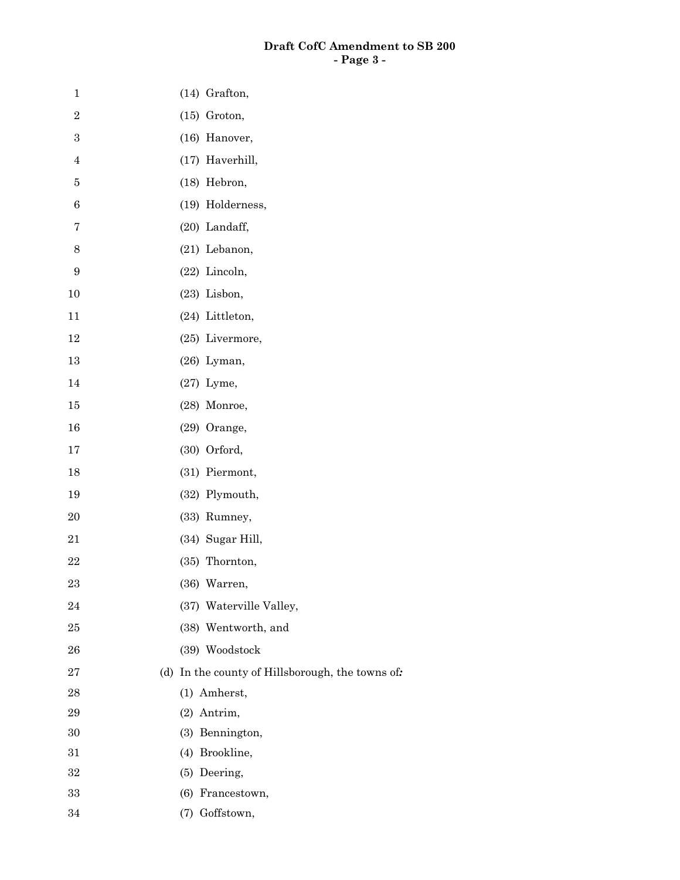## **Draft CofC Amendment to SB 200 - Page 3 -**

| $\,1$            | (14) Grafton,                                    |
|------------------|--------------------------------------------------|
| $\sqrt{2}$       | $(15)$ Groton,                                   |
| $\,3$            | (16) Hanover,                                    |
| $\overline{4}$   | (17) Haverhill,                                  |
| $\bf 5$          | (18) Hebron,                                     |
| $\,6\,$          | (19) Holderness,                                 |
| $\bf 7$          | (20) Landaff,                                    |
| $8\,$            | $(21)$ Lebanon,                                  |
| $\boldsymbol{9}$ | (22) Lincoln,                                    |
| 10               | $(23)$ Lisbon,                                   |
| 11               | (24) Littleton,                                  |
| 12               | (25) Livermore,                                  |
| $13\,$           | $(26)$ Lyman,                                    |
| 14               | $(27)$ Lyme,                                     |
| 15               | (28) Monroe,                                     |
| 16               | (29) Orange,                                     |
| 17               | (30) Orford,                                     |
| 18               | (31) Piermont,                                   |
| 19               | (32) Plymouth,                                   |
| $20\,$           | (33) Rumney,                                     |
| $21\,$           | (34) Sugar Hill,                                 |
| 22               | (35) Thornton,                                   |
| 23               | (36) Warren,                                     |
| $\bf{24}$        | (37) Waterville Valley,                          |
| 25               | (38) Wentworth, and                              |
| 26               | (39) Woodstock                                   |
| $\sqrt{27}$      | (d) In the county of Hillsborough, the towns of: |
| $\bf{28}$        | (1) Amherst,                                     |
| $\bf 29$         | (2) Antrim,                                      |
| $30\,$           | (3) Bennington,                                  |
| $31\,$           | (4) Brookline,                                   |
| $32\,$           | (5) Deering,                                     |
| $33\,$           | (6) Francestown,                                 |
| 34               | (7) Goffstown,                                   |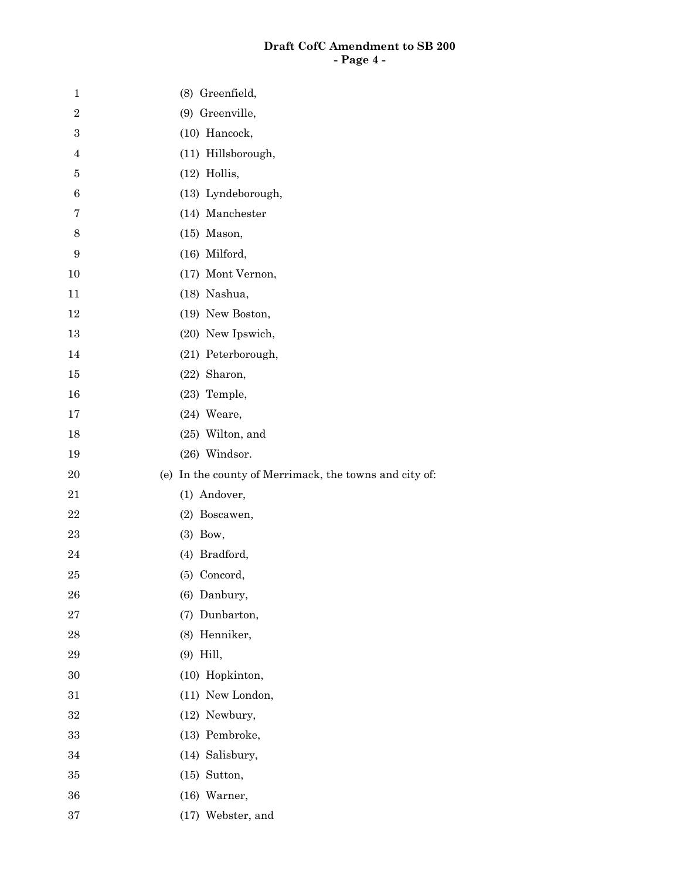## **Draft CofC Amendment to SB 200 - Page 4 -**

| $\mathbf 1$      | (8) Greenfield,                                        |
|------------------|--------------------------------------------------------|
| $\overline{2}$   | (9) Greenville,                                        |
| $\boldsymbol{3}$ | (10) Hancock,                                          |
| $\overline{4}$   | (11) Hillsborough,                                     |
| 5                | $(12)$ Hollis,                                         |
| $\,6$            | (13) Lyndeborough,                                     |
| 7                | (14) Manchester                                        |
| 8                | $(15)$ Mason,                                          |
| 9                | (16) Milford,                                          |
| 10               | (17) Mont Vernon,                                      |
| 11               | (18) Nashua,                                           |
| 12               | (19) New Boston,                                       |
| 13               | (20) New Ipswich,                                      |
| 14               | (21) Peterborough,                                     |
| 15               | (22) Sharon,                                           |
| 16               | (23) Temple,                                           |
| 17               | $(24)$ Weare,                                          |
| 18               | $(25)$ Wilton, and                                     |
| 19               | (26) Windsor.                                          |
| $20\,$           | (e) In the county of Merrimack, the towns and city of: |
| 21               | (1) Andover,                                           |
| 22               | (2) Boscawen,                                          |
| 23               | $(3)$ Bow,                                             |
| 24               | (4) Bradford,                                          |
| 25               | (5) Concord,                                           |
| 26               | (6) Danbury,                                           |
| 27               | (7) Dunbarton,                                         |
| 28               | (8) Henniker,                                          |
| 29               | $(9)$ Hill,                                            |
| 30               | (10) Hopkinton,                                        |
| 31               | (11) New London,                                       |
| 32               | (12) Newbury,                                          |
| 33               | (13) Pembroke,                                         |
| 34               | (14) Salisbury,                                        |
| 35               | $(15)$ Sutton,                                         |
| 36               | $(16)$ Warner,                                         |
| 37               | (17) Webster, and                                      |